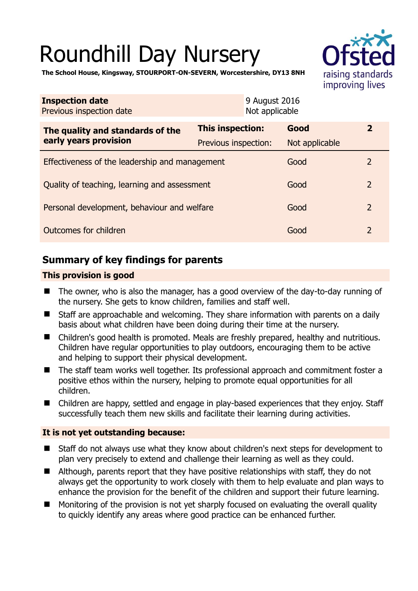# Roundhill Day Nursery



**The School House, Kingsway, STOURPORT-ON-SEVERN, Worcestershire, DY13 8NH** 

| <b>Inspection date</b><br>Previous inspection date        | 9 August 2016<br>Not applicable |                |                |
|-----------------------------------------------------------|---------------------------------|----------------|----------------|
| The quality and standards of the<br>early years provision | This inspection:                | Good           | $\mathbf{z}$   |
|                                                           | Previous inspection:            | Not applicable |                |
| Effectiveness of the leadership and management            |                                 | Good           | $\overline{2}$ |
| Quality of teaching, learning and assessment              |                                 | Good           | $\overline{2}$ |
| Personal development, behaviour and welfare               |                                 | Good           | $\overline{2}$ |
| Outcomes for children                                     |                                 | Good           | $\overline{2}$ |

# **Summary of key findings for parents**

## **This provision is good**

- The owner, who is also the manager, has a good overview of the day-to-day running of the nursery. She gets to know children, families and staff well.
- Staff are approachable and welcoming. They share information with parents on a daily basis about what children have been doing during their time at the nursery.
- Children's good health is promoted. Meals are freshly prepared, healthy and nutritious. Children have regular opportunities to play outdoors, encouraging them to be active and helping to support their physical development.
- The staff team works well together. Its professional approach and commitment foster a positive ethos within the nursery, helping to promote equal opportunities for all children.
- Children are happy, settled and engage in play-based experiences that they enjoy. Staff successfully teach them new skills and facilitate their learning during activities.

## **It is not yet outstanding because:**

- Staff do not always use what they know about children's next steps for development to plan very precisely to extend and challenge their learning as well as they could.
- Although, parents report that they have positive relationships with staff, they do not always get the opportunity to work closely with them to help evaluate and plan ways to enhance the provision for the benefit of the children and support their future learning.
- Monitoring of the provision is not yet sharply focused on evaluating the overall quality to quickly identify any areas where good practice can be enhanced further.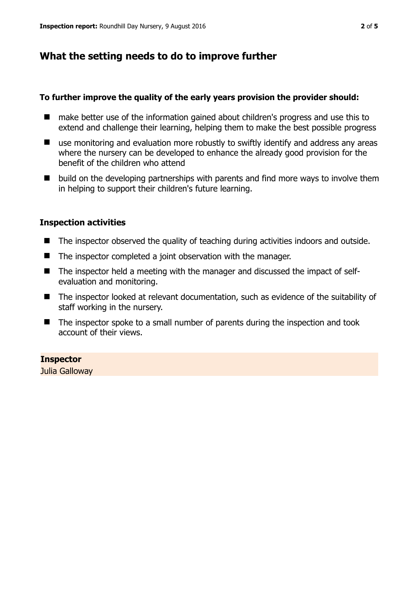# **What the setting needs to do to improve further**

## **To further improve the quality of the early years provision the provider should:**

- make better use of the information gained about children's progress and use this to extend and challenge their learning, helping them to make the best possible progress
- use monitoring and evaluation more robustly to swiftly identify and address any areas where the nursery can be developed to enhance the already good provision for the benefit of the children who attend
- build on the developing partnerships with parents and find more ways to involve them in helping to support their children's future learning.

## **Inspection activities**

- The inspector observed the quality of teaching during activities indoors and outside.
- The inspector completed a joint observation with the manager.
- The inspector held a meeting with the manager and discussed the impact of selfevaluation and monitoring.
- The inspector looked at relevant documentation, such as evidence of the suitability of staff working in the nursery.
- The inspector spoke to a small number of parents during the inspection and took account of their views.

**Inspector**  Julia Galloway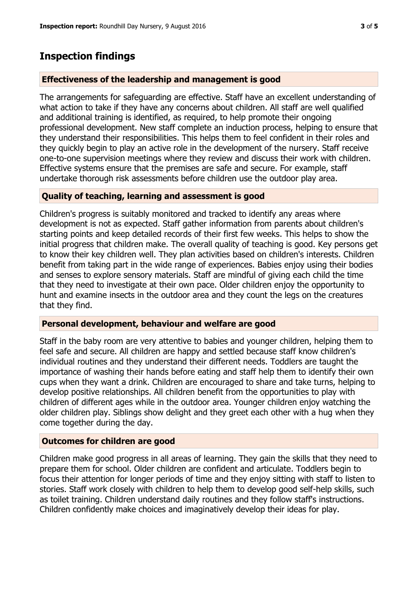## **Inspection findings**

#### **Effectiveness of the leadership and management is good**

The arrangements for safeguarding are effective. Staff have an excellent understanding of what action to take if they have any concerns about children. All staff are well qualified and additional training is identified, as required, to help promote their ongoing professional development. New staff complete an induction process, helping to ensure that they understand their responsibilities. This helps them to feel confident in their roles and they quickly begin to play an active role in the development of the nursery. Staff receive one-to-one supervision meetings where they review and discuss their work with children. Effective systems ensure that the premises are safe and secure. For example, staff undertake thorough risk assessments before children use the outdoor play area.

### **Quality of teaching, learning and assessment is good**

Children's progress is suitably monitored and tracked to identify any areas where development is not as expected. Staff gather information from parents about children's starting points and keep detailed records of their first few weeks. This helps to show the initial progress that children make. The overall quality of teaching is good. Key persons get to know their key children well. They plan activities based on children's interests. Children benefit from taking part in the wide range of experiences. Babies enjoy using their bodies and senses to explore sensory materials. Staff are mindful of giving each child the time that they need to investigate at their own pace. Older children enjoy the opportunity to hunt and examine insects in the outdoor area and they count the legs on the creatures that they find.

#### **Personal development, behaviour and welfare are good**

Staff in the baby room are very attentive to babies and younger children, helping them to feel safe and secure. All children are happy and settled because staff know children's individual routines and they understand their different needs. Toddlers are taught the importance of washing their hands before eating and staff help them to identify their own cups when they want a drink. Children are encouraged to share and take turns, helping to develop positive relationships. All children benefit from the opportunities to play with children of different ages while in the outdoor area. Younger children enjoy watching the older children play. Siblings show delight and they greet each other with a hug when they come together during the day.

#### **Outcomes for children are good**

Children make good progress in all areas of learning. They gain the skills that they need to prepare them for school. Older children are confident and articulate. Toddlers begin to focus their attention for longer periods of time and they enjoy sitting with staff to listen to stories. Staff work closely with children to help them to develop good self-help skills, such as toilet training. Children understand daily routines and they follow staff's instructions. Children confidently make choices and imaginatively develop their ideas for play.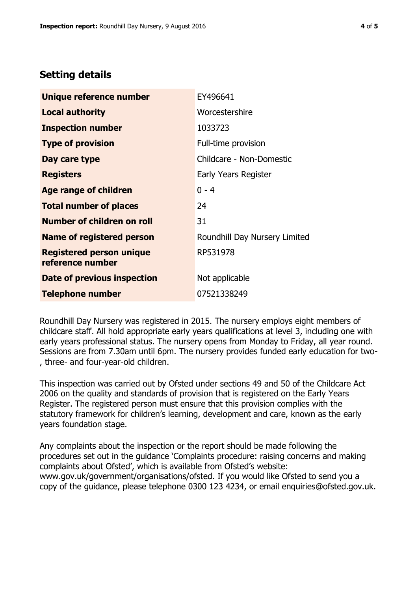# **Setting details**

| Unique reference number                             | EY496641                      |  |
|-----------------------------------------------------|-------------------------------|--|
| <b>Local authority</b>                              | Worcestershire                |  |
| <b>Inspection number</b>                            | 1033723                       |  |
| <b>Type of provision</b>                            | Full-time provision           |  |
| Day care type                                       | Childcare - Non-Domestic      |  |
| <b>Registers</b>                                    | Early Years Register          |  |
| <b>Age range of children</b>                        | $0 - 4$                       |  |
| <b>Total number of places</b>                       | 24                            |  |
| <b>Number of children on roll</b>                   | 31                            |  |
| Name of registered person                           | Roundhill Day Nursery Limited |  |
| <b>Registered person unique</b><br>reference number | RP531978                      |  |
| Date of previous inspection                         | Not applicable                |  |
| <b>Telephone number</b>                             | 07521338249                   |  |

Roundhill Day Nursery was registered in 2015. The nursery employs eight members of childcare staff. All hold appropriate early years qualifications at level 3, including one with early years professional status. The nursery opens from Monday to Friday, all year round. Sessions are from 7.30am until 6pm. The nursery provides funded early education for two- , three- and four-year-old children.

This inspection was carried out by Ofsted under sections 49 and 50 of the Childcare Act 2006 on the quality and standards of provision that is registered on the Early Years Register. The registered person must ensure that this provision complies with the statutory framework for children's learning, development and care, known as the early years foundation stage.

Any complaints about the inspection or the report should be made following the procedures set out in the guidance 'Complaints procedure: raising concerns and making complaints about Ofsted', which is available from Ofsted's website: www.gov.uk/government/organisations/ofsted. If you would like Ofsted to send you a copy of the guidance, please telephone 0300 123 4234, or email enquiries@ofsted.gov.uk.